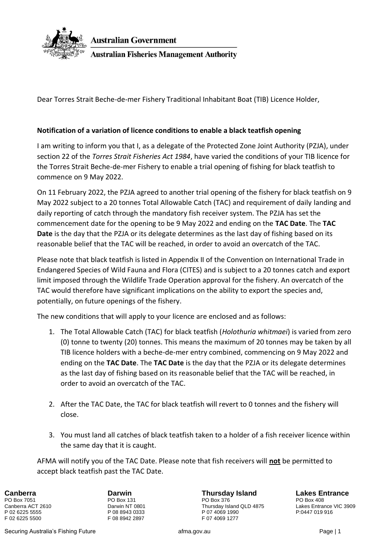

**Australian Government Australian Fisheries Management Authority** 

Dear Torres Strait Beche-de-mer Fishery Traditional Inhabitant Boat (TIB) Licence Holder,

## **Notification of a variation of licence conditions to enable a black teatfish opening**

I am writing to inform you that I, as a delegate of the Protected Zone Joint Authority (PZJA), under section 22 of the *Torres Strait Fisheries Act 1984*, have varied the conditions of your TIB licence for the Torres Strait Beche-de-mer Fishery to enable a trial opening of fishing for black teatfish to commence on 9 May 2022.

On 11 February 2022, the PZJA agreed to another trial opening of the fishery for black teatfish on 9 May 2022 subject to a 20 tonnes Total Allowable Catch (TAC) and requirement of daily landing and daily reporting of catch through the mandatory fish receiver system. The PZJA has set the commencement date for the opening to be 9 May 2022 and ending on the **TAC Date**. The **TAC Date** is the day that the PZJA or its delegate determines as the last day of fishing based on its reasonable belief that the TAC will be reached, in order to avoid an overcatch of the TAC.

Please note that black teatfish is listed in Appendix II of the Convention on International Trade in Endangered Species of Wild Fauna and Flora (CITES) and is subject to a 20 tonnes catch and export limit imposed through the Wildlife Trade Operation approval for the fishery. An overcatch of the TAC would therefore have significant implications on the ability to export the species and, potentially, on future openings of the fishery.

The new conditions that will apply to your licence are enclosed and as follows:

- 1. The Total Allowable Catch (TAC) for black teatfish (*Holothuria whitmaei*) is varied from zero (0) tonne to twenty (20) tonnes. This means the maximum of 20 tonnes may be taken by all TIB licence holders with a beche-de-mer entry combined, commencing on 9 May 2022 and ending on the **TAC Date**. The **TAC Date** is the day that the PZJA or its delegate determines as the last day of fishing based on its reasonable belief that the TAC will be reached, in order to avoid an overcatch of the TAC.
- 2. After the TAC Date, the TAC for black teatfish will revert to 0 tonnes and the fishery will close.
- 3. You must land all catches of black teatfish taken to a holder of a fish receiver licence within the same day that it is caught.

AFMA will notify you of the TAC Date. Please note that fish receivers will **not** be permitted to accept black teatfish past the TAC Date.

P 02 6225 5555 P 08 8943 0333 P 07 4069 1990<br>F 02 6225 5500 F 02 6225 P 07 4069 1277

F 08 8942 2897

**Canberra Darwin Thursday Island Lakes Entrance** PO Box 7051 PO Box 131 PO Box 376 PO Box 408 Canberra ACT 2610 **Darwin NT 0801** Canberra ACT 2610 Lakes Entrance VIC 3909<br>
P 02 6225 5555 P 08 8943 0333 P 07 4069 1990 P 07 4069 1990 P:0447 019 916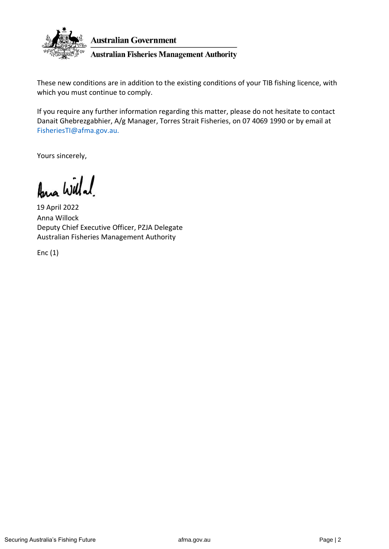

These new conditions are in addition to the existing conditions of your TIB fishing licence, with which you must continue to comply.

If you require any further information regarding this matter, please do not hesitate to contact Danait Ghebrezgabhier, A/g Manager, Torres Strait Fisheries, on 07 4069 1990 or by email at FisheriesTI@afma.gov.au.

Yours sincerely,

Ana Willa!

Anna Willock Deputy Chief Executive Officer, PZJA Delegate Australian Fisheries Management Authority 19 April 2022

Enc (1)